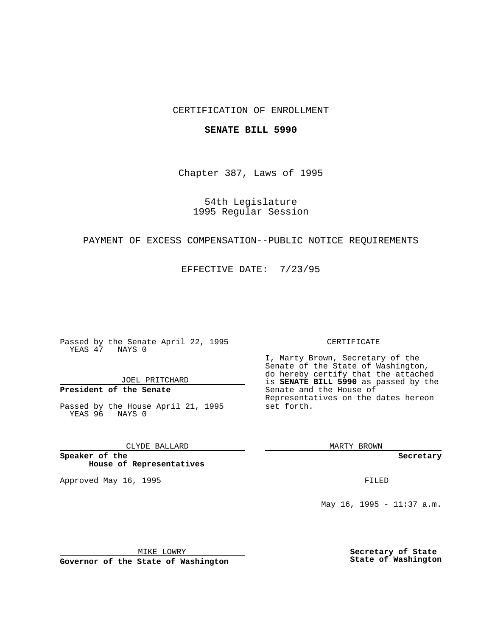## CERTIFICATION OF ENROLLMENT

## **SENATE BILL 5990**

Chapter 387, Laws of 1995

54th Legislature 1995 Regular Session

## PAYMENT OF EXCESS COMPENSATION--PUBLIC NOTICE REQUIREMENTS

EFFECTIVE DATE: 7/23/95

Passed by the Senate April 22, 1995 YEAS 47 NAYS 0

JOEL PRITCHARD

# **President of the Senate**

Passed by the House April 21, 1995 YEAS 96 NAYS 0

CLYDE BALLARD

**Speaker of the House of Representatives**

Approved May 16, 1995 FILED

#### CERTIFICATE

I, Marty Brown, Secretary of the Senate of the State of Washington, do hereby certify that the attached is **SENATE BILL 5990** as passed by the Senate and the House of Representatives on the dates hereon set forth.

MARTY BROWN

**Secretary**

May 16, 1995 - 11:37 a.m.

MIKE LOWRY

**Governor of the State of Washington**

**Secretary of State State of Washington**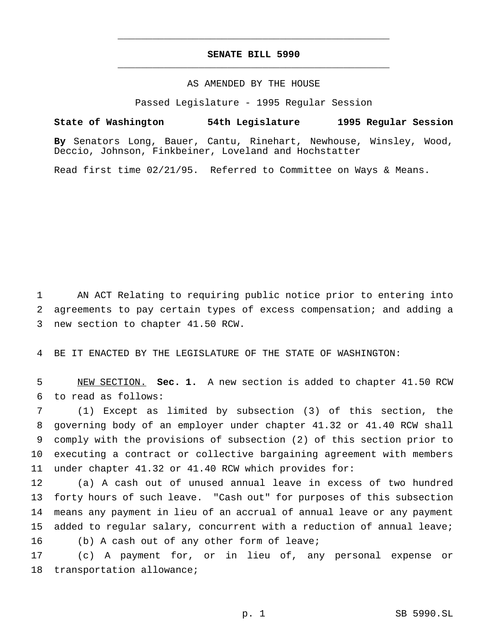## **SENATE BILL 5990** \_\_\_\_\_\_\_\_\_\_\_\_\_\_\_\_\_\_\_\_\_\_\_\_\_\_\_\_\_\_\_\_\_\_\_\_\_\_\_\_\_\_\_\_\_\_\_

\_\_\_\_\_\_\_\_\_\_\_\_\_\_\_\_\_\_\_\_\_\_\_\_\_\_\_\_\_\_\_\_\_\_\_\_\_\_\_\_\_\_\_\_\_\_\_

## AS AMENDED BY THE HOUSE

Passed Legislature - 1995 Regular Session

**State of Washington 54th Legislature 1995 Regular Session**

**By** Senators Long, Bauer, Cantu, Rinehart, Newhouse, Winsley, Wood, Deccio, Johnson, Finkbeiner, Loveland and Hochstatter

Read first time 02/21/95. Referred to Committee on Ways & Means.

 AN ACT Relating to requiring public notice prior to entering into agreements to pay certain types of excess compensation; and adding a new section to chapter 41.50 RCW.

BE IT ENACTED BY THE LEGISLATURE OF THE STATE OF WASHINGTON:

 NEW SECTION. **Sec. 1.** A new section is added to chapter 41.50 RCW to read as follows:

 (1) Except as limited by subsection (3) of this section, the governing body of an employer under chapter 41.32 or 41.40 RCW shall comply with the provisions of subsection (2) of this section prior to executing a contract or collective bargaining agreement with members under chapter 41.32 or 41.40 RCW which provides for:

 (a) A cash out of unused annual leave in excess of two hundred forty hours of such leave. "Cash out" for purposes of this subsection means any payment in lieu of an accrual of annual leave or any payment added to regular salary, concurrent with a reduction of annual leave; (b) A cash out of any other form of leave;

 (c) A payment for, or in lieu of, any personal expense or transportation allowance;